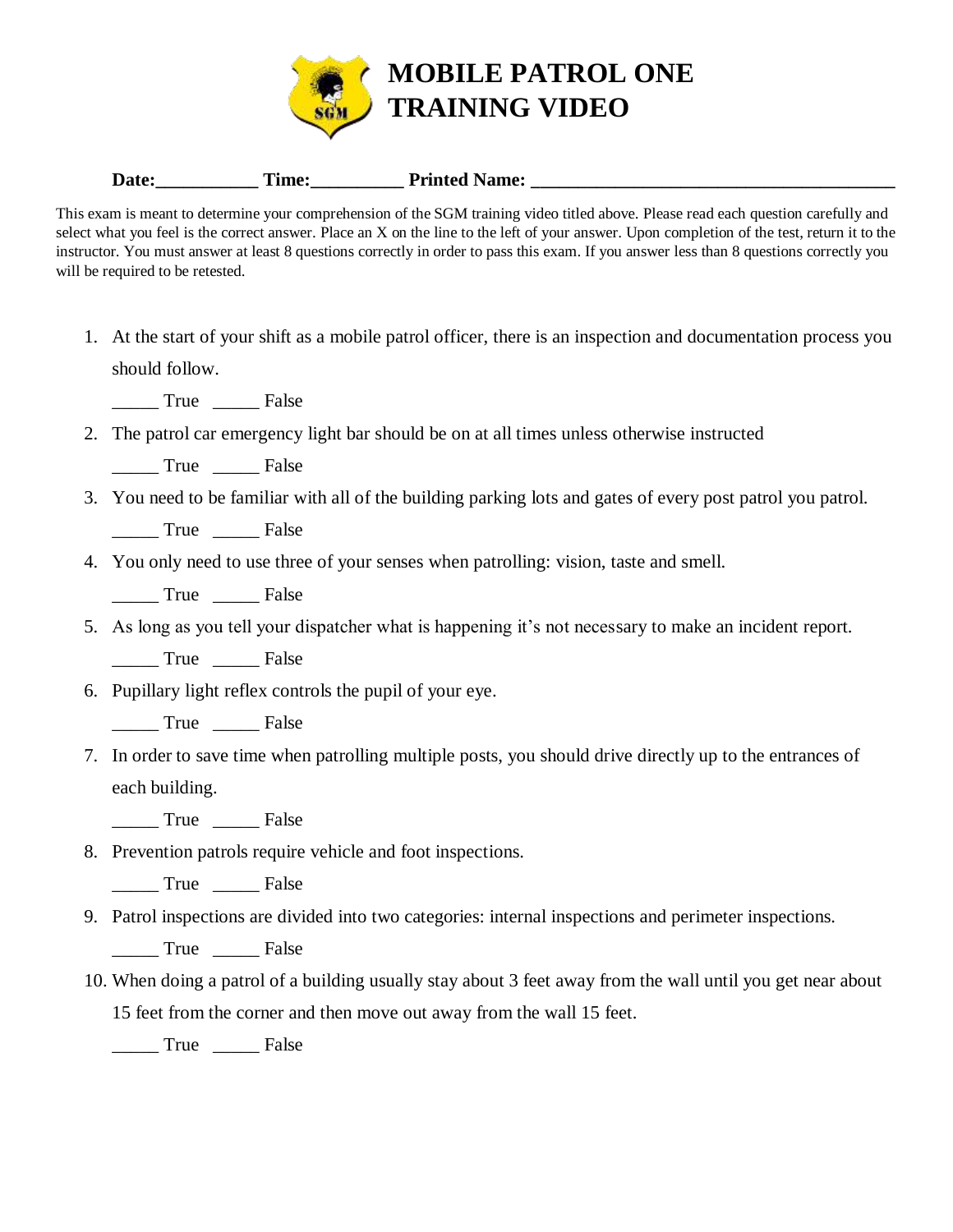

## Date: <u>Time: Printed Name:</u>

This exam is meant to determine your comprehension of the SGM training video titled above. Please read each question carefully and select what you feel is the correct answer. Place an X on the line to the left of your answer. Upon completion of the test, return it to the instructor. You must answer at least 8 questions correctly in order to pass this exam. If you answer less than 8 questions correctly you will be required to be retested.

1. At the start of your shift as a mobile patrol officer, there is an inspection and documentation process you should follow.

\_\_\_\_\_ True \_\_\_\_\_ False

2. The patrol car emergency light bar should be on at all times unless otherwise instructed

\_\_\_\_\_ True \_\_\_\_\_ False

3. You need to be familiar with all of the building parking lots and gates of every post patrol you patrol.

\_\_\_\_\_ True \_\_\_\_\_ False

4. You only need to use three of your senses when patrolling: vision, taste and smell.

\_\_\_\_\_ True \_\_\_\_\_ False

5. As long as you tell your dispatcher what is happening it's not necessary to make an incident report.

\_\_\_\_\_ True \_\_\_\_\_ False

- 6. Pupillary light reflex controls the pupil of your eye.
	- \_\_\_\_\_ True \_\_\_\_\_ False
- 7. In order to save time when patrolling multiple posts, you should drive directly up to the entrances of each building.
	- \_\_\_\_\_ True \_\_\_\_\_ False
- 8. Prevention patrols require vehicle and foot inspections.

\_\_\_\_\_ True \_\_\_\_\_ False

9. Patrol inspections are divided into two categories: internal inspections and perimeter inspections.

\_\_\_\_\_ True \_\_\_\_\_ False

- 10. When doing a patrol of a building usually stay about 3 feet away from the wall until you get near about
	- 15 feet from the corner and then move out away from the wall 15 feet.

True False